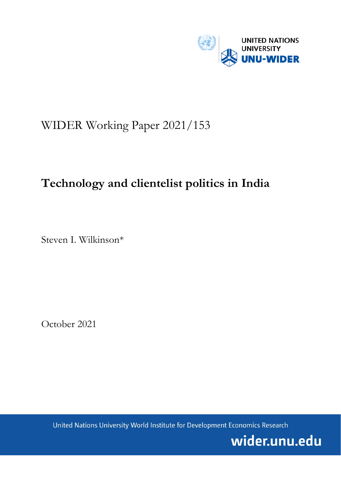

# WIDER Working Paper 2021/153

## **Technology and clientelist politics in India**

Steven I. Wilkinson\*

October 2021

United Nations University World Institute for Development Economics Research

wider.unu.edu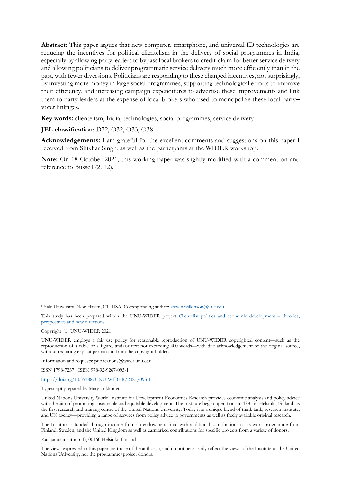**Abstract:** This paper argues that new computer, smartphone, and universal ID technologies are reducing the incentives for political clientelism in the delivery of social programmes in India, especially by allowing party leaders to bypass local brokers to credit-claim for better service delivery and allowing politicians to deliver programmatic service delivery much more efficiently than in the past, with fewer diversions. Politicians are responding to these changed incentives, not surprisingly, by investing more money in large social programmes, supporting technological efforts to improve their efficiency, and increasing campaign expenditures to advertise these improvements and link them to party leaders at the expense of local brokers who used to monopolize these local party– voter linkages.

**Key words:** clientelism, India, technologies, social programmes, service delivery

## **JEL classification:** D72, O32, O33, O38

**Acknowledgements:** I am grateful for the excellent comments and suggestions on this paper I received from Shikhar Singh, as well as the participants at the WIDER workshop.

**Note:** On 18 October 2021, this working paper was slightly modified with a comment on and reference to Bussell (2012).

\*Yale University, New Haven, CT, USA. Corresponding author[: steven.wilkinson@yale.edu](mailto:steven.wilkinson@yale.edu)

This study has been prepared within the UNU-WIDER project [Clientelist politics and economic development –](https://www.wider.unu.edu/node/237043) theories, [perspectives and new directions.](https://www.wider.unu.edu/node/237043)

Copyright © UNU-WIDER 2021

UNU-WIDER employs a fair use policy for reasonable reproduction of UNU-WIDER copyrighted content—such as the reproduction of a table or a figure, and/or text not exceeding 400 words—with due acknowledgement of the original source, without requiring explicit permission from the copyright holder.

Information and requests: publications@wider.unu.edu

ISSN 1798-7237 ISBN 978-92-9267-093-1

#### <https://doi.org/10.35188/UNU-WIDER/2021/093-1>

Typescript prepared by Mary Lukkonen.

United Nations University World Institute for Development Economics Research provides economic analysis and policy advice with the aim of promoting sustainable and equitable development. The Institute began operations in 1985 in Helsinki, Finland, as the first research and training centre of the United Nations University. Today it is a unique blend of think tank, research institute, and UN agency—providing a range of services from policy advice to governments as well as freely available original research.

The Institute is funded through income from an endowment fund with additional contributions to its work programme from Finland, Sweden, and the United Kingdom as well as earmarked contributions for specific projects from a variety of donors.

Katajanokanlaituri 6 B, 00160 Helsinki, Finland

The views expressed in this paper are those of the author(s), and do not necessarily reflect the views of the Institute or the United Nations University, nor the programme/project donors.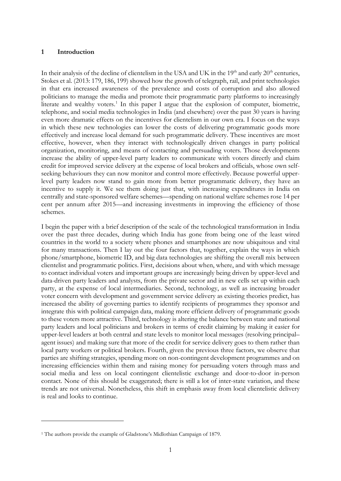#### **1 Introduction**

In their analysis of the decline of clientelism in the USA and UK in the  $19<sup>th</sup>$  and early  $20<sup>th</sup>$  centuries, Stokes et al. (2013: 179, 186, 199) showed how the growth of telegraph, rail, and print technologies in that era increased awareness of the prevalence and costs of corruption and also allowed politicians to manage the media and promote their programmatic party platforms to increasingly literate and wealthy voters.<sup>[1](#page-2-0)</sup> In this paper I argue that the explosion of computer, biometric, telephone, and social media technologies in India (and elsewhere) over the past 30 years is having even more dramatic effects on the incentives for clientelism in our own era. I focus on the ways in which these new technologies can lower the costs of delivering programmatic goods more effectively and increase local demand for such programmatic delivery. These incentives are most effective, however, when they interact with technologically driven changes in party political organization, monitoring, and means of contacting and persuading voters. Those developments increase the ability of upper-level party leaders to communicate with voters directly and claim credit for improved service delivery at the expense of local brokers and officials, whose own selfseeking behaviours they can now monitor and control more effectively. Because powerful upperlevel party leaders now stand to gain more from better programmatic delivery, they have an incentive to supply it. We see them doing just that, with increasing expenditures in India on centrally and state-sponsored welfare schemes—spending on national welfare schemes rose 14 per cent per annum after 2015—and increasing investments in improving the efficiency of those schemes.

I begin the paper with a brief description of the scale of the technological transformation in India over the past three decades, during which India has gone from being one of the least wired countries in the world to a society where phones and smartphones are now ubiquitous and vital for many transactions. Then I lay out the four factors that, together, explain the ways in which phone/smartphone, biometric ID, and big data technologies are shifting the overall mix between clientelist and programmatic politics. First, decisions about when, where, and with which message to contact individual voters and important groups are increasingly being driven by upper-level and data-driven party leaders and analysts, from the private sector and in new cells set up within each party, at the expense of local intermediaries. Second, technology, as well as increasing broader voter concern with development and government service delivery as existing theories predict, has increased the ability of governing parties to identify recipients of programmes they sponsor and integrate this with political campaign data, making more efficient delivery of programmatic goods to these voters more attractive. Third, technology is altering the balance between state and national party leaders and local politicians and brokers in terms of credit claiming by making it easier for upper-level leaders at both central and state levels to monitor local messages (resolving principal– agent issues) and making sure that more of the credit for service delivery goes to them rather than local party workers or political brokers. Fourth, given the previous three factors, we observe that parties are shifting strategies, spending more on non-contingent development programmes and on increasing efficiencies within them and raising money for persuading voters through mass and social media and less on local contingent clientelistic exchange and door-to-door in-person contact. None of this should be exaggerated; there is still a lot of inter-state variation, and these trends are not universal. Nonetheless, this shift in emphasis away from local clientelistic delivery is real and looks to continue.

<span id="page-2-0"></span><sup>1</sup> The authors provide the example of Gladstone's Midlothian Campaign of 1879.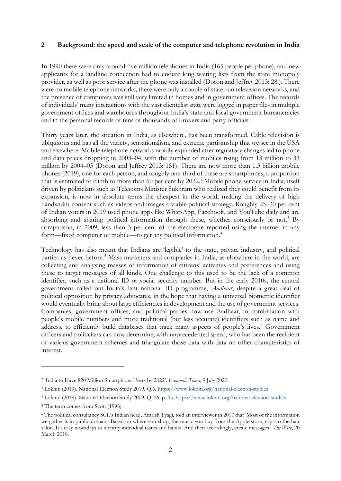### **2 Background: the speed and scale of the computer and telephone revolution in India**

In 1990 there were only around five million telephones in India (165 people per phone), and new applicants for a landline connection had to endure long waiting lists from the state monopoly provider, as well as poor service after the phone was installed (Doron and Jeffrey 2013: 28.). There were no mobile telephone networks, there were only a couple of state-run television networks, and the presence of computers was still very limited in homes and in government offices. The records of individuals' many interactions with the vast clientelist state were logged in paper files in multiple government offices and warehouses throughout India's state and local government bureaucracies and in the personal records of tens of thousands of brokers and party officials.

Thirty years later, the situation in India, as elsewhere, has been transformed. Cable television is ubiquitous and has all the variety, sensationalism, and extreme partisanship that we see in the USA and elsewhere. Mobile telephone networks rapidly expanded after regulatory changes led to phone and data prices dropping in 2003–04, with the number of mobiles rising from 13 million to 33 million by 2004–05 (Doron and Jeffrey 2013: 151). There are now more than 1.3 billion mobile phones (2019), one for each person, and roughly one-third of these are smartphones, a proportion that is estimated to climb to more than 60 per cent by 2022. [2](#page-3-0) Mobile phone service in India, itself driven by politicians such as Telecoms Minister Sukhram who realized they could benefit from its expansion, is now in absolute terms the cheapest in the world, making the delivery of high bandwidth content such as videos and images a viable political strategy. Roughly 25–30 per cent of Indian voters in 2019 used phone apps like WhatsApp, Facebook, and YouTube daily and are absorbing and sharing political information through these, whether consciously or not.<sup>[3](#page-3-1)</sup> By comparison, in 2009, less than 5 per cent of the electorate reported using the internet in any form—fixed computer or mobile—to get any political information.[4](#page-3-2)

Technology has also meant that Indians are 'legible' to the state, private industry, and political parties as never before.<sup>[5](#page-3-3)</sup> Mass marketers and companies in India, as elsewhere in the world, are collecting and analysing masses of information of citizens' activities and preferences and using these to target messages of all kinds. One challenge to this used to be the lack of a common identifier, such as a national ID or social security number. But in the early 2010s, the central government rolled out India's first national ID programme, *Aadhaar*, despite a great deal of political opposition by privacy advocates, in the hope that having a universal biometric identifier would eventually bring about large efficiencies in development and the use of government services. Companies, government offices, and political parties now use Aadhaar, in combination with people's mobile numbers and more traditional (but less accurate) identifiers such as name and address, to efficiently build databases that track many aspects of people's lives.<sup>[6](#page-3-4)</sup> Government officers and politicians can now determine, with unprecedented speed, who has been the recipient of various government schemes and triangulate those data with data on other characteristics of interest.

<span id="page-3-0"></span><sup>2</sup> 'India to Have 820 Million Smartphone Users by 2022'. *Economic Times*, 9 July 2020.

<span id="page-3-1"></span><sup>3</sup> Lokniti (2019). National Election Study 2019. Q.6. <https://www.lokniti.org/national-election-studies>

<span id="page-3-2"></span><sup>4</sup> Lokniti (2019). National Election Study 2009. Q. 26, p. 45. <https://www.lokniti.org/national-election-studies>

<span id="page-3-3"></span><sup>&</sup>lt;sup>5</sup> The term comes from Scott (1998).

<span id="page-3-4"></span><sup>6</sup> The political consultancy SCL's Indian head, Amrish Tyagi, told an interviewer in 2017 that 'Most of the information we gather is in public domain. Based on where you shop, the music you buy from the Apple store, trips to the hair salon. It's easy nowadays to identify individual tastes and habits. And then accordingly, create messages'. *[The Wire](https://thewire.in/politics/facebook-to-votes-scandal-turns-spotlight-on-cambridge-analyticas-india-inroads)*, 20 March 2018.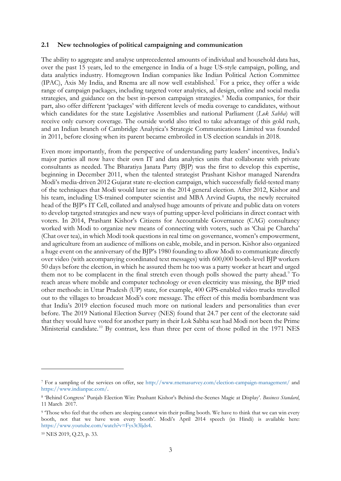#### **2.1 New technologies of political campaigning and communication**

The ability to aggregate and analyse unprecedented amounts of individual and household data has, over the past 15 years, led to the emergence in India of a huge US-style campaign, polling, and data analytics industry. Homegrown Indian companies like Indian Political Action Committee (IPAC), Axis My India, and Rnema are all now well established.[7](#page-4-0) For a price, they offer a wide range of campaign packages, including targeted voter analytics, ad design, online and social media strategies, and guidance on the best in-person campaign strategies.<sup>[8](#page-4-1)</sup> Media companies, for their part, also offer different 'packages' with different levels of media coverage to candidates, without which candidates for the state Legislative Assemblies and national Parliament (*Lok Sabha*) will receive only cursory coverage. The outside world also tried to take advantage of this gold rush, and an Indian branch of Cambridge Analytica's Strategic Communications Limited was founded in 2011, before closing when its parent became embroiled in US election scandals in 2018.

Even more importantly, from the perspective of understanding party leaders' incentives, India's major parties all now have their own IT and data analytics units that collaborate with private consultants as needed. The Bharatiya Janata Party (BJP) was the first to develop this expertise, beginning in December 2011, when the talented strategist Prashant Kishor managed Narendra Modi's media-driven 2012 Gujarat state re-election campaign, which successfully field-tested many of the techniques that Modi would later use in the 2014 general election. After 2012, Kishor and his team, including US-trained computer scientist and MBA Arvind Gupta, the newly recruited head of the BJP's IT Cell, collated and analysed huge amounts of private and public data on voters to develop targeted strategies and new ways of putting upper-level politicians in direct contact with voters. In 2014, Prashant Kishor's Citizens for Accountable Governance (CAG) consultancy worked with Modi to organize new means of connecting with voters, such as 'Chai pe Charcha' (Chat over tea), in which Modi took questions in real time on governance, women's empowerment, and agriculture from an audience of millions on cable, mobile, and in person. Kishor also organized a huge event on the anniversary of the BJP's 1980 founding to allow Modi to communicate directly over video (with accompanying coordinated text messages) with 600,000 booth-level BJP workers 50 days before the election, in which he assured them he too was a party worker at heart and urged them not to be complacent in the final stretch even though polls showed the party ahead.<sup>[9](#page-4-2)</sup> To reach areas where mobile and computer technology or even electricity was missing, the BJP tried other methods: in Uttar Pradesh (UP) state, for example, 400 GPS-enabled video trucks travelled out to the villages to broadcast Modi's core message. The effect of this media bombardment was that India's 2019 election focused much more on national leaders and personalities than ever before. The 2019 National Election Survey (NES) found that 24.7 per cent of the electorate said that they would have voted for another party in their Lok Sabha seat had Modi not been the Prime Ministerial candidate.<sup>[10](#page-4-3)</sup> By contrast, less than three per cent of those polled in the 1971 NES

<span id="page-4-0"></span><sup>7</sup> For a sampling of the services on offer, see<http://www.rnemasurvey.com/election-campaign-management/> and [https://www.indianpac.com/.](https://www.indianpac.com/) 

<span id="page-4-1"></span><sup>8</sup> 'Behind Congress' Punjab Election Win: Prashant Kishor's Behind-the-Scenes Magic at Display'. *Business Standard*, 11 March 2017.

<span id="page-4-2"></span><sup>&</sup>lt;sup>9</sup> Those who feel that the others are sleeping cannot win their polling booth. We have to think that we can win every booth, not that we have won every booth'. Modi's April 2014 speech (in Hindi) is available here: [https://www.youtube.com/watch?v=Fys3t3ljds4.](https://www.youtube.com/watch?v=Fys3t3ljds4)

<span id="page-4-3"></span><sup>10</sup> NES 2019, Q.23, p. 33.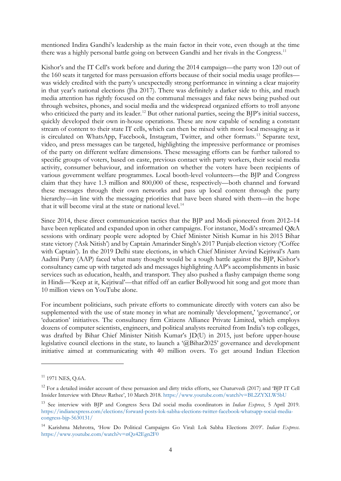mentioned Indira Gandhi's leadership as the main factor in their vote, even though at the time there was a highly personal battle going on between Gandhi and her rivals in the Congress.<sup>[11](#page-5-0)</sup>

Kishor's and the IT Cell's work before and during the 2014 campaign—the party won 120 out of the 160 seats it targeted for mass persuasion efforts because of their social media usage profiles was widely credited with the party's unexpectedly strong performance in winning a clear majority in that year's national elections (Jha 2017). There was definitely a darker side to this, and much media attention has rightly focused on the communal messages and fake news being pushed out through websites, phones, and social media and the widespread organized efforts to troll anyone who criticized the party and its leader.<sup>[12](#page-5-1)</sup> But other national parties, seeing the BJP's initial success, quickly developed their own in-house operations. These are now capable of sending a constant stream of content to their state IT cells, which can then be mixed with more local messaging as it is circulated on WhatsApp, Facebook, Instagram, Twitter, and other formats.<sup>[13](#page-5-2)</sup> Separate text, video, and press messages can be targeted, highlighting the impressive performance or promises of the party on different welfare dimensions. These messaging efforts can be further tailored to specific groups of voters, based on caste, previous contact with party workers, their social media activity, consumer behaviour, and information on whether the voters have been recipients of various government welfare programmes. Local booth-level volunteers—the BJP and Congress claim that they have 1.3 million and 800,000 of these, respectively—both channel and forward these messages through their own networks and pass up local content through the party hierarchy—in line with the messaging priorities that have been shared with them—in the hope that it will become viral at the state or national level.<sup>[14](#page-5-3)</sup>

Since 2014, these direct communication tactics that the BJP and Modi pioneered from 2012–14 have been replicated and expanded upon in other campaigns. For instance, Modi's streamed Q&A sessions with ordinary people were adopted by Chief Minister Nitish Kumar in his 2015 Bihar state victory ('Ask Nitish') and by Captain Amarinder Singh's 2017 Punjab election victory ('Coffee with Captain'). In the 2019 Delhi state elections, in which Chief Minister Arvind Kejriwal's Aam Aadmi Party (AAP) faced what many thought would be a tough battle against the BJP, Kishor's consultancy came up with targeted ads and messages highlighting AAP's accomplishments in basic services such as education, health, and transport. They also pushed a flashy campaign theme song in Hindi—'Keep at it, Kejriwal'—that riffed off an earlier Bollywood hit song and got more than 10 million views on YouTube alone.

For incumbent politicians, such private efforts to communicate directly with voters can also be supplemented with the use of state money in what are nominally 'development,' 'governance', or 'education' initiatives. The consultancy firm Citizens Alliance Private Limited, which employs dozens of computer scientists, engineers, and political analysts recruited from India's top colleges, was drafted by Bihar Chief Minister Nitish Kumar's JD(U) in 2015, just before upper-house legislative council elections in the state, to launch a '@Bihar2025' governance and development initiative aimed at communicating with 40 million overs. To get around Indian Election

<span id="page-5-0"></span> $11$  1971 NES, O.6A.

<span id="page-5-1"></span><sup>&</sup>lt;sup>12</sup> For a detailed insider account of these persuasion and dirty tricks efforts, see Chaturvedi (2017) and 'BJP IT Cell Insider Interview with Dhruv Rathee', 10 March 2018. <https://www.youtube.com/watch?v=BL2ZYXLW5bU>

<span id="page-5-2"></span><sup>13</sup> See interview with BJP and Congress Seva Dal social media coordinators in *Indian Express*, 5 April 2019. [https://indianexpress.com/elections/forward-posts-lok-sabha-elections-twitter-facebook-whatsapp-social-media](https://indianexpress.com/elections/forward-posts-lok-sabha-elections-twitter-facebook-whatsapp-social-media-congress-bjp-5630131/)[congress-bjp-5630131/](https://indianexpress.com/elections/forward-posts-lok-sabha-elections-twitter-facebook-whatsapp-social-media-congress-bjp-5630131/)

<span id="page-5-3"></span><sup>14</sup> Karishma Mehrotra, 'How Do Political Campaigns Go Viral: Lok Sabha Elections 2019'. *Indian Express*. <https://www.youtube.com/watch?v=nQz42Egn2F0>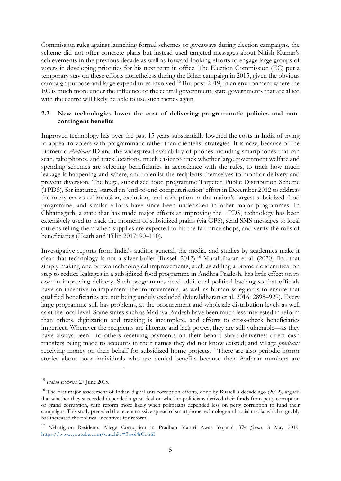Commission rules against launching formal schemes or giveaways during election campaigns, the scheme did not offer concrete plans but instead used targeted messages about Nitish Kumar's achievements in the previous decade as well as forward-looking efforts to engage large groups of voters in developing priorities for his next term in office. The Election Commission (EC) put a temporary stay on these efforts nonetheless during the Bihar campaign in 2015, given the obvious campaign purpose and large expenditures involved.[15](#page-6-0) But post-2019, in an environment where the EC is much more under the influence of the central government, state governments that are allied with the centre will likely be able to use such tactics again.

## **2.2 New technologies lower the cost of delivering programmatic policies and noncontingent benefits**

Improved technology has over the past 15 years substantially lowered the costs in India of trying to appeal to voters with programmatic rather than clientelist strategies. It is now, because of the biometric *Aadhaar* ID and the widespread availability of phones including smartphones that can scan, take photos, and track locations, much easier to track whether large government welfare and spending schemes are selecting beneficiaries in accordance with the rules, to track how much leakage is happening and where, and to enlist the recipients themselves to monitor delivery and prevent diversion. The huge, subsidized food programme Targeted Public Distribution Scheme (TPDS), for instance, started an 'end-to-end computerisation' effort in December 2012 to address the many errors of inclusion, exclusion, and corruption in the nation's largest subsidized food programme, and similar efforts have since been undertaken in other major programmes. In Chhattisgarh, a state that has made major efforts at improving the TPDS, technology has been extensively used to track the moment of subsidized grains (via GPS), send SMS messages to local citizens telling them when supplies are expected to hit the fair price shops, and verify the rolls of beneficiaries (Heath and Tillin 2017: 90–110).

Investigative reports from India's auditor general, the media, and studies by academics make it clear that technology is not a silver bullet (Bussell 2012). <sup>16</sup> Muralidharan et al. (2020) find that simply making one or two technological improvements, such as adding a biometric identification step to reduce leakages in a subsidized food programme in Andhra Pradesh, has little effect on its own in improving delivery. Such programmes need additional political backing so that officials have an incentive to implement the improvements, as well as human safeguards to ensure that qualified beneficiaries are not being unduly excluded (Muralidharan et al. 2016: 2895–929). Every large programme still has problems, at the procurement and wholesale distribution levels as well as at the local level. Some states such as Madhya Pradesh have been much less interested in reform than others, digitization and tracking is incomplete, and efforts to cross-check beneficiaries imperfect. Wherever the recipients are illiterate and lack power, they are still vulnerable—as they have always been—to others receiving payments on their behalf: short deliveries; direct cash transfers being made to accounts in their names they did not know existed; and village *pradhans* receiving money on their behalf for subsidi[zed](#page-6-1) home projects.<sup>17</sup> There are also periodic horror stories about poor individuals who are [de](#page-6-2)nied benefits because their Aadhaar numbers are

<sup>15</sup> *Indian Express*, 27 June 2015.

<span id="page-6-0"></span><sup>&</sup>lt;sup>16</sup> The first major assessment of Indian digital anti-corruption efforts, done by Bussell a decade ago (2012), argued that whether they succeeded depended a great deal on whether politicians derived their funds from petty corruption or grand corruption, with reform more likely when politicians depended less on petty corruption to fund their campaigns. This study preceded the recent massive spread of smartphone technology and social media, which arguably has [increased the political incentives for reform.](https://www.youtube.com/watch?v=3woi4rCoh6I)

<span id="page-6-2"></span><span id="page-6-1"></span><sup>17</sup> 'Ghatigaon Residents Allege Corruption in Pradhan Mantri Awas Yojana'. *The Quint*, 8 M[ay 20](https://scroll.in/article/895667/a-year-after-jharkhand-girl-died-of-starvation-aadhaar-tragedies-are-on-the-rise)19. https://www.youtube.com/watch?v=3woi4rCoh6I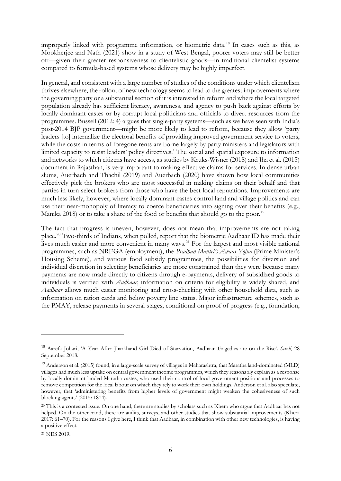improperly linked with programme information, or biometric data.18 In cases such as this, as Mookherjee and Nath (2021) show in a study of West Bengal, poorer voters may still be better off—given their greater responsiveness to clientelistic goods—in traditional clientelist systems compared to formula-based systems whose delivery may be highly imperfect.

In general, and consistent with a large number of studies of the conditions under which clientelism thrives elsewhere, the rollout of new technology seems to lead to the greatest improvements where the governing party or a substantial section of it is interested in reform and where the local targeted population already has sufficient literacy, awareness, and agency to push back against efforts by locally dominant castes or by corrupt local politicians and officials to divert resources from the programmes. Bussell (2012: 4) argues that single-party systems—such as we have seen with India's post-2014 BJP government—might be more likely to lead to reform, because they allow 'party leaders [to] internalize the electoral benefits of providing improved government service to voters, while the costs in terms of foregone rents are borne largely by party ministers and legislators with limited capacity to resist leaders' policy directives.' The social and spatial exposure to information and networks to which citizens have access, as studies by Kruks-Wisner (2018) and Jha et al. (2015) document in Rajasthan, is very important t[o m](#page-7-0)aking effective claims for services. In dense urban slums, Auerbach and Thachil (2019) and Auerbach (2020) have shown how local communities effectively pick the brokers who are most successful in making claims on their behalf and that partie[s](#page-7-1) in turn select brokers from those who have the best local reputations. Improvements are much less likely, however, where locally dominant cas[tes](#page-7-2) control land and village politics and can use their near-monopoly of literacy to coerce beneficiaries into signing over their benefits (e.g., Manika 2018) or to take a share of the food or benefits that should go to the poor.<sup>19</sup>

The fact that progress is uneven, however, does not mean that improvements are not taking place.20 Two-thirds of Indians, when polled, report that the biometric Aadhaar ID has made their lives much easier and more convenient in many ways.<sup>21</sup> For the largest and most visible national programmes, such as NREGA (employment), the *Pradhan Mantri's Awaas Yojna* (Prime Minister's Housing Scheme), and various food subsidy programmes, the possibilities for diversion and individual discretion in selecting beneficiaries are more constrained than they were because many payments are now made directly to citizens through e-payments, delivery of su[bsi](#page-7-3)dized goods to individuals is verified with *Aadhaar*, information on criteria for eligibility is widely shared, and *Aadhaar* allows much easier monitoring and cross-checking with other household data, such as information on ration cards and below poverty line status. Major infrastructure schemes, such as the PMAY, release payments in several stages, conditional on proof of progress (e.g., foundation,

<span id="page-7-0"></span><sup>18</sup> Aarefa Johari, 'A Year After Jharkhand Girl Died of Starvation, Aadhaar Tragedies are on the Rise'. *Scroll*, 28 September 2018.

<sup>&</sup>lt;sup>19</sup> Anderson et al. (2015) found, in a large-scale survey of villages in Maharashtra, that Maratha land-dominated (MLD) villages had much less uptake on central government income programmes, which they reasonably explain as a response by locally dominant landed Maratha castes, who used their control of local government positions and processes to remove competition for the local labour on which they rely to work their own holdings. Anderson et al. also speculate, however, that 'administering benefits from higher levels of government might weaken the cohesiveness of such blocking agents' (2015: 1814).

<span id="page-7-2"></span><span id="page-7-1"></span><sup>&</sup>lt;sup>20</sup> This is a contested issue. On one hand, there are studies by scholars such as Khera who argue that Aadhaar has not helped. On the other hand, there are audits, surveys, and other studies that show substantial improvements (Khera 2017: 61–70). For the reasons I give here, I think that Aadhaar, in combination with other new technologies, is having a positive effect.

<span id="page-7-3"></span><sup>21</sup> NES 2019.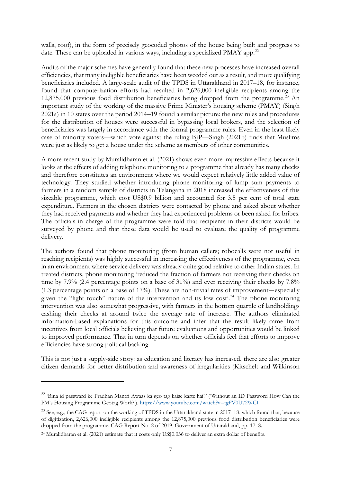walls, roof), in the form of precisely geocoded photos of the house being built and progr[es](#page-8-0)s to date. These can be uploaded in various ways, including a specialized PMAY app.<sup>22</sup>

Audits of the major schemes have generally found that these new processes have increased overall efficiencies, that many ineligible beneficiaries have been weeded out as a result, and more qualifying beneficiaries included. A large-scale audit of the TPDS in Uttarakhand in 2017–18, for instance, found that computerization efforts had resulted in 2,626,000 ineligible recipients among the 12,875,000 previous food distribution beneficiaries being dropped from the programme. <sup>23</sup> An important study of the working of the massive Prime Minister's housing scheme (PMAY) (Singh 2021a) in 10 states over the period 2014–19 found a similar picture: the new rules and procedures for the distribution of houses were successful in bypassing local brokers, and the selection of beneficiaries was largely in accordance with the formal programme rules. Even in the least likely case of minority voters—which vote against the ruling BJP—Singh (2021b) finds that Muslims were just as likely to get a house under the scheme as members of other communities.

A more recent study by Muralidharan et al. (2021) shows even more impressive effects because it looks at the effects of adding telephone monitoring to a programme that already has many checks and therefore constitutes an environment where we would expect relatively little added value of technology. They studied whether introducing phone monitoring of lump sum payments to farmers in a random sample of districts in Telangana in 2018 increased the effectiveness of this sizeable programme, which cost US\$0.9 billion and accounted for 3.5 per cent of total state expenditure. Farmers in the chosen districts were contacted by phone and asked about whether they had received payments and whether they had experienced problems or been asked for bribes. The officials in charge of the programme were told that recipients in their districts would be surveyed by phone and that these data would be used to evaluate the quality of programme delivery.

The authors found that phone monitoring (from human callers; robocalls were not useful in reaching recipients) was highly successful in increasing the effectiveness of the programme, even in an environment where service delivery was already quite good relative to other Indian states. In treated districts, phone monitoring 'reduced the fraction of farmers not receiving their checks on time by 7.9% (2.4 percentage points on a base of 31%) and ever receiving their checks by 7.8% (1.3 percentage points on a base of 17%). These are non-trivial rates of improvement—especially given the "light touch" nature of the intervention and its low cost'. <sup>24</sup> The phone monitoring intervention was also somewhat progressive, with farmers in the bottom quartile of landholdings cashing their checks at around twice the average rate of increase. The authors eliminated infor[ma](#page-8-1)tion-based explanations for this outcome and infer that the result likely came from incentives from local officials believing that future evaluations and opportunities would be linked to improved performance. That in turn depends on whether officials feel that efforts to improve efficiencies have strong political backing.

This is not just a supply-side story: as education and literacy has increased, there are also greater citizen demands for better distribution and awareness of irregularities (Kitschelt and Wilkinson

<span id="page-8-0"></span><sup>&</sup>lt;sup>22</sup> 'Bina id passward ke Pradhan Mantri Awaas ka geo tag kaise karte hai?' ('Without an ID Password How Can the PM's Housing Programme Geotag Work?'). https://www.youtube.com/watch?v=tgFV0U72WCI

 $^{23}$  See, e.g., the CAG report on [the working of TPDS in the Uttarakhand state in 2017–18,](https://cag.gov.in/sites/default/files/audit_report_files/Chapter_1_Social_General_and_Economic_Sectors_%28Non_PSUs%29_of_Report_No_2_of_2019_Government_of_Uttarakhand.pdf) which found that, because of digitization, 2,626,000 ineligible recipients among the 12,875,000 previous food distribution beneficiaries were dropped from the programme. CAG Report No. 2 of 2019, Government of Uttarakhand, pp. 17–8.

<span id="page-8-1"></span><sup>24</sup> Muralidharan et al. (2021) estimate that it costs only US\$0.036 to deliver an extra dollar of benefits.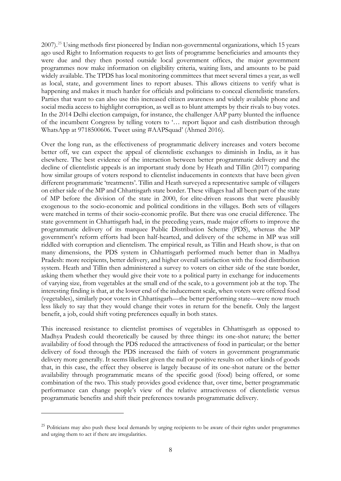2007). <sup>25</sup> Using methods first pioneered by Indian non-governmental organizations, which 15 years ago used Right to Information requests to get lists of programme beneficiaries and amounts they were due and they then posted outside local government offices, the major government programmes now make information on eligibility criteria, waiting lists, and amounts to be paid widely available. The TPDS has local monitoring committees that meet several times a year, as well as local, state, and government lines to report abuses. This allows citizens to verify what is happening and makes it much harder for officials and politicians to conceal clientelistic transfers. Parties that want to can also use this increased citizen awareness and widely available phone and social media access to highlight corruption, as well as to blunt attempts by their rivals to buy votes. In the 2014 Delhi election campaign, for instance, the challenger AAP party blunted the influence of the incumbent Congress by telling voters to '… report liquor and cash distribution through WhatsApp at 9718500606. Tweet using #AAPSquad' (Ahmed 2016).

Over the long run, as the effectiveness of programmatic delivery increases and voters become better off, we can expect the appeal of clientelistic exchanges to diminish in India, as it has elsewhere. The best evidence of the interaction between better programmatic delivery and the decline of clientelistic appeals is an important study done by Heath and Tillin (2017) comparing how similar groups of voters respond to clientelist inducements in contexts that have been given different programmatic 'treatments'. Tillin and Heath surveyed a representative sample of villagers on either side of the MP and Chhattisgarh state border. These villages had all been part of the state of MP before the division of the state in 2000, for elite-driven reasons that were plausibly exogenous to the socio-economic and political conditions in the villages. Both sets of villagers were matched in terms of their socio-economic profile. But there was one crucial difference. The state government in Chhattisgarh had, in the preceding years, made major efforts to improve the programmatic delivery of its marquee Public Distribution Scheme (PDS), whereas the MP government's reform efforts had been half-hearted, and delivery of the scheme in MP was still riddled with corruption and clientelism. The empirical result, as Tillin and Heath show, is that on many dimensions, the PDS system in Chhattisgarh performed much better than in Madhya Pradesh: more recipients, better delivery, and higher overall satisfaction with the food distribution system. Heath and Tillin then administered a survey to voters on either side of the state border, asking them whether they would give their vote to a political party in exchange for inducements of varying size, from vegetables at the small end of the scale, to a government job at the top. The interesting finding is that, at the lower end of the inducement scale, when voters were offered food (vegetables), similarly poor voters in Chhattisgarh—the better performing state—were now much less likely to say that they would change their votes in return for the benefit. Only the largest benefit, a job, could shift voting preferences equally in both states.

This increased resistance to clientelist promises of vegetables in Chhattisgarh as opposed to Madhya Pradesh could theoretically be caused by three things: its one-shot nature; the better availability of food through the PDS reduced the attractiveness of food in particular; or the better delivery of food through the PDS increased the faith of voters in government programmatic delivery more generally. It seems likeliest given the null or positive results on other kinds of goods that, in this case, the effect they observe is largely because of its one-shot nature or the better availability through programmatic means of the specific good (food) being offered, or some combination of the two. This study provides good evidence that, over time, better programmatic performance can change people's view of the relative attractiveness of clientelistic versus programmatic benefits and shift their preferences towards programmatic delivery.

<sup>&</sup>lt;sup>25</sup> Politicians may also push these local demands by urging recipients to be aware of their rights under programmes and urging them to act if there are irregularities.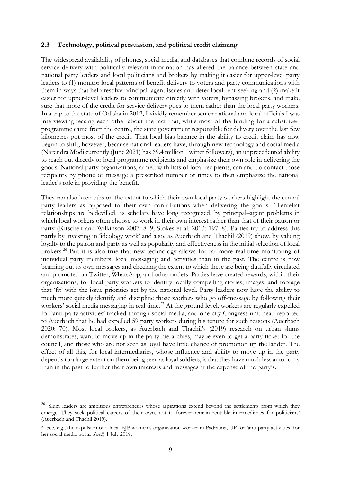### **2.3 Technology, political persuasion, and political credit claiming**

The widespread availability of phones, social media, and databases that combine records of social service delivery with politically relevant information has altered the balance between state and national party leaders and local politicians and brokers by making it easier for upper-level party leaders to (1) monitor local patterns of benefit delivery to voters and party communications with them in ways that help resolve principal–agent issues and deter local rent-seeking and (2) make it easier for upper-level leaders to communicate directly with voters, bypassing brokers, and make sure that more of the credit for service delivery goes to them rather than the local party workers. In a trip to the state of Odisha in 2012, I vividly remember senior national and local officials I was interviewing teasing each other about the fact that, while most of the funding for a subsidized programme came from the centre, the state government responsible for delivery over the last few kilometres got most of the credit. That local bias balance in the ability to credit claim has now begun to shift, however, because national leaders have, through new technology and social media (Narendra Modi currently (June 2021) has 69.4 million Twitter followers), an unprecedented ability to reach out directly to local programme recipients and emphasize their own role in delivering the goods. [Na](#page-10-0)tional party organizations, armed with lists of local recipients, can and do contact those recipients by phone or message a prescribed number of times to then emphasize the national leader's role in providing the benefit.

They can also keep tabs on the extent to which their own local party workers highlight the central party leaders as opposed to their own contributions when delivering the goods. Clientelist relationships are bedevilled, as scholars have long recognized, by principal–agent problems in which local workers often choose to work in [th](#page-10-1)eir own interest rather than that of their patron or party (Kitschelt and Wilkinson 2007: 8–9; Stokes et al. 2013: 197–8). Parties try to address this partly by investing in 'ideology work' and also, as Auerbach and Thachil (2019) show, by valuing loyalty to the patron and party as well as popularity and effectiveness in the initial selection of local brokers.26 But it is also true that new technology allows for far more real-time monitoring of individual party members' local messaging and activities than in the past. The centre is now beaming out its own messages and checking the extent to which these are being dutifully circulated and promoted on Twitter, WhatsApp, and other outlets. Parties have created rewards, within their organizations, for local party workers to identify locally compelling stories, images, and footage that 'fit' with the issue priorities set by the national level. Party leaders now have the ability to much more quickly identify and discipline those workers who go off-message by following their workers' social media messaging in real time.<sup>27</sup> At the ground level, workers are regularly expelled for 'anti-party activities' tracked through social media, and one city Congress unit head reported to Auerbach that he had expelled 59 party workers during his tenure for such reasons (Auerbach 2020: 70). Most local brokers, as Auerbach and Thachil's (2019) research on urban slums demonstrates, want to move up in the party hierarchies, maybe even to get a party ticket for the council, and those who are not seen as loyal have little chance of promotion up the ladder. The effect of all this, for local intermediaries, whose influence and ability to move up in the party depends to a large extent on them being seen as loyal soldiers, is that they have much less autonomy than in the past to further their own interests and messages at the expense of the party's.

<span id="page-10-0"></span><sup>&</sup>lt;sup>26</sup> 'Slum leaders are ambitious entrepreneurs whose aspirations extend beyond the settlements from which they emerge. They seek political careers of their own, not to forever remain rentable intermediaries for politicians' (Auerbach and Thachil 2019).

<span id="page-10-1"></span><sup>27</sup> See, e.g., the expulsion of a local BJP women's organization worker in Padrauna, UP for 'anti-party activities' for her social media posts. *Scroll*, 1 July 2019.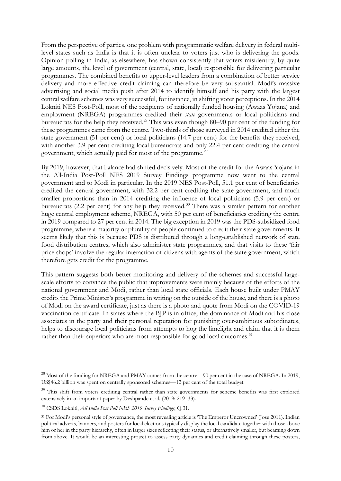From the perspective of parties, one p[ro](#page-11-0)blem with programmatic welfare delivery in federal multilevel states such as India is that it is often unclear to voters just who is delivering the goods. Opinion polling in India, as elsewhere, has shown consistently that voters misidentify, by quite large amounts, the level of government (central, state, local) responsible for delivering particular programmes. The combined benefits to upper-level leaders f[ro](#page-11-1)m a combination of better service delivery and more effective credit claiming can therefore be very substantial. Modi's massive advertising and social media push after 2014 to identify himself and his party with the largest central welfare schemes was very successful, for instance, in shifting voter perceptions. In the 2014 Lokniti NES Post-Poll, most of the recipients of nationally funded housing (Awaas Yojana) and employment (NREGA) programmes credited their *state* governments or local politicians and bureaucrats for the help they received.28 This was even though 80–90 per cent of the funding for these programmes came from the centre. Two-thirds o[f](#page-11-2) those surveyed in 2014 credited either the state government (51 per cent) or local politicians (14.7 per cent) for the benefits they received, with another 3.9 per cent crediting local bureaucrats and only 22.4 per cent crediting the central government, which actually paid for most of the programme.<sup>29</sup>

By 2019, however, that balance had shifted decisively. Most of the credit for the Awaas Yojana in the All-India Post-Poll NES 2019 Survey Findings programme now went to the central government and to Modi in particular. In the 2019 NES Post-Poll, 51.1 per cent of beneficiaries credited the central government, with 32.2 per cent crediting the state government, and much smaller proportions than in 2014 crediting the influence of local politicians (5.9 per cent) or bureaucrats (2.2 per cent) for any help they received.<sup>30</sup> There was a similar pattern for another huge central employment scheme, NREGA, with 50 per cent of beneficiaries crediting the centre in 2019 compared to 27 per cent in 2014. The big exception in 2019 was the PDS-subsidized food programme, where a majority or plurality of people continued to credit their state governments. It seems likely that this is because PDS is distributed through a long-established network of state food distribution centres, which also administer state programmes, and that visits to these 'fair price shops' involve the regular interaction of citizens with agents of the state [go](#page-11-3)vernment, which therefore gets credit for the programme.

This pattern suggests both better monitoring and delivery of the schemes and successful largescale efforts to convince the public that improvements were mainly because of the efforts of the national government and Modi, rather than local state officials. Each house built under PMAY credits the Prime Minister's programme in writing on the outside of the house, and there is a photo of Modi on the award certificate, just as there is a photo and quote from Modi on the COVID-19 vaccination certificate. In states where the BJP is in office, the dominance of Modi and his close associates in the party and their personal reputation for punishing over-ambitious subordinates, helps to discourage local politicians from attempts to hog the limelight and claim that it is them rather than their superiors who are most responsible for good local outcomes.<sup>31</sup>

<span id="page-11-1"></span><span id="page-11-0"></span><sup>&</sup>lt;sup>28</sup> Most of the funding for NREGA and PMAY comes from the centre—90 per cent in the case of NREGA. In 2019, US\$46.2 billion was spent on centrally sponsored schemes—12 per cent of the total budget.

<span id="page-11-2"></span><sup>&</sup>lt;sup>29</sup> This shift from voters crediting central rather than state governments for scheme benefits was first explored extensively in an important paper by Deshpande et al. (2019: 219–33).

<span id="page-11-3"></span><sup>30</sup> CSDS Lokniti, *All India Post Poll NES 2019 Survey Findings*, Q.31.

<sup>31</sup> For Modi's personal style of governance, the most revealing article is 'The Emperor Uncrowned' (Jose 2011). Indian political adverts, banners, and posters for local elections typically display the local candidate together with those above him or her in the party hierarchy, often in larger sizes reflecting their status, or alternatively smaller, but beaming down from above. It would be an interesting project to assess party dynamics and credit claiming through these posters,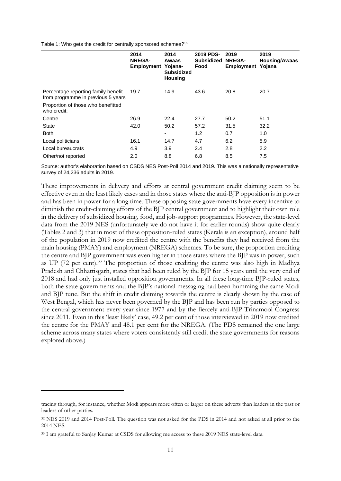Table 1: Who gets the credit for centrally sponsored schemes?<sup>[32](#page-12-0)</sup>

|                                                                                                                                | 2014<br><b>NREGA-</b><br><b>Employment</b> | 2014<br>Awaas<br>Yojana-<br><b>Subsidized</b><br><b>Housing</b> | 2019 PDS-<br><b>Subsidized</b><br>Food | 2019<br><b>NREGA-</b><br>Employment Yojana | 2019<br><b>Housing/Awaas</b> |
|--------------------------------------------------------------------------------------------------------------------------------|--------------------------------------------|-----------------------------------------------------------------|----------------------------------------|--------------------------------------------|------------------------------|
| Percentage reporting family benefit<br>from programme in previous 5 years<br>Proportion of those who benefitted<br>who credit: | 19.7                                       | 14.9                                                            | 43.6                                   | 20.8                                       | 20.7                         |
| Centre                                                                                                                         | 26.9                                       | 22.4                                                            | 27.7                                   | 50.2                                       | 51.1                         |
| <b>State</b>                                                                                                                   | 42.0                                       | 50.2                                                            | 57.2                                   | 31.5                                       | 32.2                         |
| <b>Both</b>                                                                                                                    |                                            | ۰                                                               | 1.2                                    | 0.7                                        | 1.0                          |
| Local politicians                                                                                                              | 16.1                                       | 14.7                                                            | 4.7                                    | 6.2                                        | 5.9                          |
| Local bureaucrats                                                                                                              | 4.9                                        | 3.9                                                             | 2.4                                    | 2.8                                        | 2.2                          |
| Other/not reported                                                                                                             | 2.0                                        | 8.8                                                             | 6.8                                    | 8.5                                        | 7.5                          |

Source: author's elaboration based on CSDS NES Post-Poll 2014 and 2019. This was a nationally representative survey of 24,236 adults in 2019.

These improvements in delivery and efforts at central government credit claiming seem to be effective even in the least likely cases and in those states where the anti-BJP opposition is in power and has been in power for a long time. These opposing state governments have every incentive to diminish the credit-claiming efforts of the BJP central government and to highlight their own role in the delivery of subsidized housing, food, and job-support programmes. However, the state-level data from the 2019 NES (unfortunately we do not have it for earlier rounds) show quite clearly (Tables 2 and 3) that in most of these opposition-ruled states (Kerala is an exception), around half of the population in 2019 now credited the centre with the benefits they had received from the main housing (PMAY) and employment (NREGA) schemes. To be sure, the proportion crediting the centre and BJP government was even higher in those states where the BJP was in power, such as UP (72 per cent).<sup>[33](#page-12-1)</sup> The proportion of those crediting the centre was also high in Madhya Pradesh and Chhattisgarh, states that had been ruled by the BJP for 15 years until the very end of 2018 and had only just installed opposition governments. In all these long-time BJP-ruled states, both the state governments and the BJP's national messaging had been humming the same Modi and BJP tune. But the shift in credit claiming towards the centre is clearly shown by the case of West Bengal, which has never been governed by the BJP and has been run by parties opposed to the central government every year since 1977 and by the fiercely anti-BJP Trinamool Congress since 2011. Even in this 'least likely' case, 49.2 per cent of those interviewed in 2019 now credited the centre for the PMAY and 48.1 per cent for the NREGA. (The PDS remained the one large scheme across many states where voters consistently still credit the state governments for reasons explored above.)

tracing through, for instance, whether Modi appears more often or larger on these adverts than leaders in the past or leaders of other parties.

<span id="page-12-0"></span><sup>32</sup> NES 2019 and 2014 Post-Poll. The question was not asked for the PDS in 2014 and not asked at all prior to the 2014 NES.

<span id="page-12-1"></span><sup>33</sup> I am grateful to Sanjay Kumar at CSDS for allowing me access to these 2019 NES state-level data.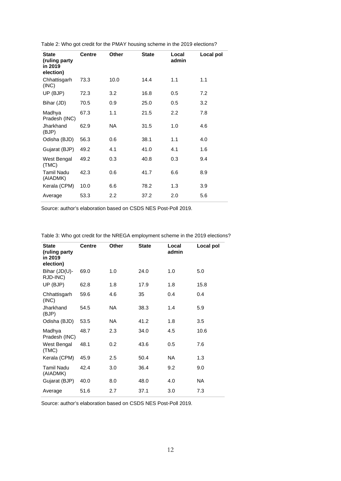| <b>State</b><br>(ruling party<br>in 2019<br>election) | <b>Centre</b> | Other            | <b>State</b> | Local<br>admin   | Local pol |
|-------------------------------------------------------|---------------|------------------|--------------|------------------|-----------|
| Chhattisgarh<br>(INC)                                 | 73.3          | 10.0             | 14.4         | 1.1              | 1.1       |
| UP (BJP)                                              | 72.3          | 3.2              | 16.8         | 0.5              | 7.2       |
| Bihar (JD)                                            | 70.5          | 0.9              | 25.0         | 0.5              | 3.2       |
| Madhya<br>Pradesh (INC)                               | 67.3          | 1.1              | 21.5         | $2.2\phantom{0}$ | 7.8       |
| Jharkhand<br>(BJP)                                    | 62.9          | NA.              | 31.5         | 1.0              | 4.6       |
| Odisha (BJD)                                          | 56.3          | 0.6              | 38.1         | 1.1              | 4.0       |
| Gujarat (BJP)                                         | 49.2          | 4.1              | 41.0         | 4.1              | 1.6       |
| West Bengal<br>(TMC)                                  | 49.2          | 0.3              | 40.8         | 0.3              | 9.4       |
| Tamil Nadu<br>(AIADMK)                                | 42.3          | 0.6              | 41.7         | 6.6              | 8.9       |
| Kerala (CPM)                                          | 10.0          | 6.6              | 78.2         | 1.3              | 3.9       |
| Average                                               | 53.3          | $2.2\phantom{0}$ | 37.2         | 2.0              | 5.6       |

Table 2: Who got credit for the PMAY housing scheme in the 2019 elections?

Source: author's elaboration based on CSDS NES Post-Poll 2019.

| <b>State</b><br>(ruling party<br>in 2019<br>election) | <b>Centre</b> | <b>Other</b> | <b>State</b> | Local<br>admin | Local pol |
|-------------------------------------------------------|---------------|--------------|--------------|----------------|-----------|
| Bihar (JD(U)-<br>RJD-INC)                             | 69.0          | 1.0          | 24.0         | 1.0            | 5.0       |
| UP (BJP)                                              | 62.8          | 1.8          | 17.9         | 1.8            | 15.8      |
| Chhattisgarh<br>(INC)                                 | 59.6          | 4.6          | 35           | 0.4            | 0.4       |
| Jharkhand<br>(BJP)                                    | 54.5          | <b>NA</b>    | 38.3         | 1.4            | 5.9       |
| Odisha (BJD)                                          | 53.5          | NA.          | 41.2         | 1.8            | 3.5       |
| Madhya<br>Pradesh (INC)                               | 48.7          | 2.3          | 34.0         | 4.5            | 10.6      |
| West Bengal<br>(TMC)                                  | 48.1          | 0.2          | 43.6         | 0.5            | 7.6       |
| Kerala (CPM)                                          | 45.9          | 2.5          | 50.4         | NA.            | 1.3       |
| <b>Tamil Nadu</b><br>(AIADMK)                         | 42.4          | 3.0          | 36.4         | 9.2            | 9.0       |
| Gujarat (BJP)                                         | 40.0          | 8.0          | 48.0         | 4.0            | NA.       |
| Average                                               | 51.6          | 2.7          | 37.1         | 3.0            | 7.3       |

Table 3: Who got credit for the NREGA employment scheme in the 2019 elections?

Source: author's elaboration based on CSDS NES Post-Poll 2019.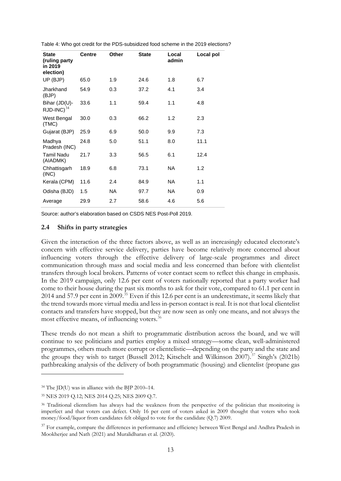| <b>State</b><br>(ruling party<br>in 2019<br>election) | <b>Centre</b> | <b>Other</b> | <b>State</b> | Local<br>admin | Local pol |
|-------------------------------------------------------|---------------|--------------|--------------|----------------|-----------|
| UP (BJP)                                              | 65.0          | 1.9          | 24.6         | 1.8            | 6.7       |
| Jharkhand<br>(BJP)                                    | 54.9          | 0.3          | 37.2         | 4.1            | 3.4       |
| Bihar (JD(U)-<br>$RJD$ -INC) $^{34}$                  | 33.6          | 1.1          | 59.4         | 1.1            | 4.8       |
| West Bengal<br>(TMC)                                  | 30.0          | 0.3          | 66.2         | 1.2            | 2.3       |
| Gujarat (BJP)                                         | 25.9          | 6.9          | 50.0         | 9.9            | 7.3       |
| Madhya<br>Pradesh (INC)                               | 24.8          | 5.0          | 51.1         | 8.0            | 11.1      |
| <b>Tamil Nadu</b><br>(AIADMK)                         | 21.7          | 3.3          | 56.5         | 6.1            | 12.4      |
| Chhattisgarh<br>(INC)                                 | 18.9          | 6.8          | 73.1         | NA.            | 1.2       |
| Kerala (CPM)                                          | 11.6          | 2.4          | 84.9         | NA.            | 1.1       |
| Odisha (BJD)                                          | 1.5           | NA.          | 97.7         | NA.            | 0.9       |
| Average                                               | 29.9          | 2.7          | 58.6         | 4.6            | 5.6       |

Source: author's elaboration based on CSDS NES Post-Poll 2019.

#### **2.4 Shifts in party strategies**

Given the interaction of the three factors above, as well as an increasingly educated electorate's concern with effective service delivery, parties have become relatively more concerned about influencing voters through the effective delivery of large-scale programmes and direct communication through mass and social media and less concerned than before with clientelist transfers through local brokers. Patterns of voter contact seem to reflect this change in emphasis. In the 2019 campaign, only 12.6 per cent of voters nationally reported that a party worker had come to their house during the past six months to ask for their vote, compared to 61.1 per cent in 2014 and 57.9 per cent in 2009.[35](#page-14-1) Even if this 12.6 per cent is an underestimate, it seems likely that the trend towards more virtual media and less in-person contact is real. It is not that local clientelist contacts and transfers have stopped, but they are now seen as only one means, and not always the most effective means, of influencing voters.<sup>[36](#page-14-2)</sup>

These trends do not mean a shift to programmatic distribution across the board, and we will continue to see politicians and parties employ a mixed strategy—some clean, well-administered programmes, others much more corrupt or clientelistic—depending on the party and the state and the groups they wish to target [\(B](#page-14-3)ussell 2012; Kitschelt and Wilkinson 2007). <sup>37</sup> Singh's (2021b) pathbreaking analysis of the delivery of both programmatic (housing) and clientelist (propane gas

<span id="page-14-0"></span><sup>34</sup> The JD(U) was in alliance with the BJP 2010–14.

<span id="page-14-1"></span><sup>35</sup> NES 2019 Q.12; NES 2014 Q.25; NES 2009 Q.7.

<span id="page-14-2"></span><sup>&</sup>lt;sup>36</sup> Traditional clientelism has always had the weakness from the perspective of the politician that monitoring is imperfect and that voters can defect. Only 16 per cent of voters asked in 2009 thought that voters who took money/food/liquor from candidates felt obliged to vote for the candidate (Q.7) 2009.

<span id="page-14-3"></span><sup>&</sup>lt;sup>37</sup> For example, compare the differences in performance and efficiency between West Bengal and Andhra Pradesh in Mookherjee and Nath (2021) and Muralidharan et al. (2020).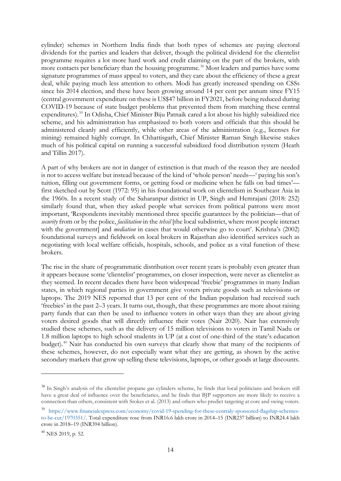cylinder) schemes in Northern India finds that both types of schemes are paying electoral dividends for the parties and leaders that deliver, though the political dividend for the clientelist programme requires a lot more hard work and credit claiming on the part of the brokers, with more conta[cts](#page-15-0) per beneficiary than the housing programme. <sup>38</sup> Most leaders and parties have some signature programmes of mass appeal to voters, and they care about the efficiency of these a great deal, while paying much less attention to others. Modi has greatly increased spending on CSSs since his 2014 election, and these have been growing around 14 per cent per annum since FY15 (central government expenditure on these is US\$47 billion in FY2021, before being reduced during COVID-19 because of state budget problems that prevented [th](#page-15-1)em from matching these central expenditures). <sup>39</sup> In Odisha, Chief Minister Biju Patnaik cared a lot about his highly subsidized rice scheme, and his administration has emphasized to both voters and officials that this should be administered cleanly and efficiently, while other areas of the administration (e.g., licenses for mining) remained highly corrupt. In Chhattisgarh, Chief Minister Raman Singh likewise stakes much of his political capital on running a successful subsidized food distribution system (Heath and Tillin 2017).

A part of why brokers are not in danger of extinction is that much of the reason they are needed is not to access welfare but instead because of the kind of 'whole person' needs—' paying his son's tuition, filling out government forms, or getting food or medicine when he falls on bad times' first sketched out by Scott (1972: 95) in his foundational work on clientelism in Southeast Asia in the 1960s. In a recent study of the Saharanpur district in UP, Singh and Hemrajani (2018: 252) similarly found that, when they asked people what services from political patrons were most important, 'Respondents inevitably mentioned three specific guarantees by the politician—that of *security* from or by the police, *facilitation* in the *tehsil* [the local subdistrict, where most people interact with the government] and *mediation* in cases that would otherwise go to court'. Krishna's (2002) foundational surveys and fieldwork on local brokers in Rajasthan also identified services such as negotiating with local welfare officials, hospitals, schools, and police as a vital function of these brokers.

The rise in the share of programmatic distribution over recent years is probably even greater than it appears because some 'clientelist' programmes, on closer inspection, were never as clientelist as they seemed. In recent decades there have been widespread 'freebie' programmes in many Indian states, in which regional parties in government give voters private goods such as televisions or laptops. The 2019 NES reported that 13 per cent of the Indian population had received such 'freebies' in the past 2–3 years. It turns out, though, that these programmes are more about raising party funds that can then be used to influence voters in other ways than they are about giving voters desired goods that will directly influence their votes (Nair 2020). Nair has extensively studied these schemes, such as the delivery of 15 million televisions to voters in Tamil Nadu or 1.8 milli[on](#page-15-2) laptops to high school students in UP (at a cost of one-third of the state's education budget).40 Nair has conducted his own surveys that clearly show that many of the recipients of these schemes, however, do not especially want what they are getting, as shown by the active secondary markets that grow up selling these televisions, laptops, or other goods at large discounts.

<span id="page-15-0"></span><sup>&</sup>lt;sup>38</sup> In Singh's analysis of the clientelist propane gas cylinders scheme, he finds that local politicians and brokers still have a great deal of influence over the beneficiaries, and he finds that BJP supporters are more likely to receive a connection than others, consistent with Stokes et al. (2013) and others who predict targeting at core and swing voters.

<span id="page-15-1"></span><sup>39</sup> [https://www.financialexpress.com/economy/covid-19-spending-for-these-centraly-sponsored-flagship-schemes](https://www.financialexpress.com/economy/covid-19-spending-for-these-centraly-sponsored-flagship-schemes-to-be-cut/1970351/)[to-be-cut/1970351/.](https://www.financialexpress.com/economy/covid-19-spending-for-these-centraly-sponsored-flagship-schemes-to-be-cut/1970351/) Total expenditure rose from INR16.6 lakh crore in 2014–15 (INR237 billion) to INR24.4 lakh crore in 2018–19 (INR394 billion).

<span id="page-15-2"></span> $40$  NES 2019, p. 52.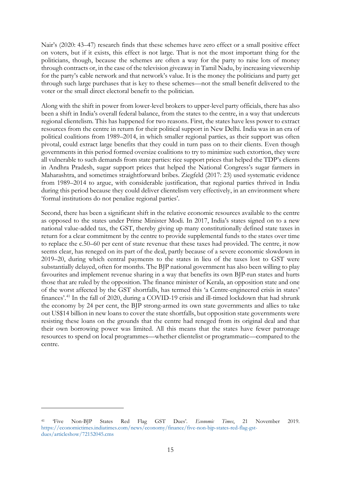Nair's (2020: 43–47) research finds that these schemes have zero effect or a small positive effect on voters, but if it exists, this effect is not large. That is not the most important thing for the politicians, though, because the schemes are often a way for the party to raise lots of money through contracts or, in the case of the television giveaway in Tamil Nadu, by increasing viewership for the party's cable network and that network's value. It is the money the politicians and party get through such large purchases that is key to these schemes—not the small benefit delivered to the voter or the small direct electoral benefit to the politician.

Along with the shift in power from lower-level brokers to upper-level party officials, there has also been a shift in India's overall federal balance, from the states to the centre, in a way that undercuts regional clientelism. This has happened for two reasons. First, the states have less power to extract resources from the centre in return for their political support in New Delhi. India was in an era of political coalitions from 1989–2014, in which smaller regional parties, as their support was often pivotal, could extract large benefits that they could in turn pass on to their clients. Even though governments in this period formed oversize coalitions to try to minimize such extortion, they were all vulnerable to such demands from state parties: rice support prices that helped the TDP's clients in Andhra Pradesh, sugar support prices that helped the National Congress's sugar farmers in Maharashtra, and sometimes straightforward bribes. Ziegfeld (2017: 23) used systematic evidence from 1989–2014 to argue, with considerable justification, that regional parties thrived in India during this period because they could deliver clientelism very effectively, in an environment where 'formal institutions do not penalize regional parties'.

Second, there has been a significant shift in the relative economic resources available to the centre as opposed to the states under Prime Minister Modi. In 2017, India's states signed on to a new national value-added tax, the GST, thereby giving up many constitutionally defined state taxes in return for a clear commitment by the centre to provide supplemental funds to the states over time to replace the c.50–60 per cent of state revenue that these taxes had provided. The centre, it now seems clear, has reneged on its part of the deal, partly because of a severe economic slowdown in 2019–20, during which central payments to the states in lieu of the taxes lost to GST were substantially delayed, often for months. The BJP national government has also been willing to play favourites and implement revenue sharing in a way that benefits its own BJP-run states and hurts those that are ruled by the opposition. The finance minister of Kerala, an opposition state and one of the w[ors](#page-16-0)t affected by the GST shortfalls, has termed this 'a Centre-engineered crisis in states' finances'. <sup>41</sup> In the fall of 2020, during a COVID-19 crisis and ill-timed lockdown that had shrunk the economy by 24 per cent, the BJP strong-armed its own state governments and allies to take out US\$14 billion in new loans to cover the state shortfalls, but opposition state governments were resisting these loans on the grounds that the centre had reneged from its original deal and that their own borrowing power was limited. All this means that the states have fewer patronage resources to spend on local programmes—whether clientelist or programmatic—compared to the centre.

<span id="page-16-0"></span><sup>41</sup> 'Five Non-BJP States Red Flag GST Dues'. *Economic Times*, 21 November 2019. [https://economictimes.indiatimes.com/news/economy/finance/five-non-bjp-states-red-flag-gst](https://economictimes.indiatimes.com/news/economy/finance/five-non-bjp-states-red-flag-gst-dues/articleshow/72152045.cms)[dues/articleshow/72152045.cms](https://economictimes.indiatimes.com/news/economy/finance/five-non-bjp-states-red-flag-gst-dues/articleshow/72152045.cms)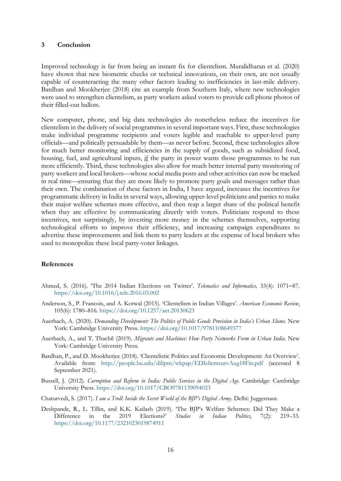#### **3 Conclusion**

Improved technology is far from being an instant fix for clientelism. Muralidharan et al. (2020) have shown that new biometric checks or technical innovations, on their own, are not usually capable of counteracting the many other factors leading to inefficiencies in last-mile delivery. Bardhan and Mookherjee (2018) cite an example from Southern Italy, where new technologies were used to strengthen clientelism, as party workers asked voters to provide cell phone photos of their filled-out ballots.

New computer, phone, and big data technologies do nonetheless reduce the incentives for clientelism in the delivery of social programmes in several important ways. First, these technologies make individual programme recipients and voters legible and reachable to upper-level party officials—and politically persuadable by them—as never before. Second, these technologies allow for much better monitoring and efficiencies in the supply of goods, such as subsidized food, housing, fuel, and agricultural inputs, if the party in power wants those programmes to be run more efficiently. Third, these technologies also allow for much better internal party monitoring of party workers and local brokers—whose social media posts and other activities can now be tracked in real time—ensuring that they are more likely to promote party goals and messages rather than their own. The combination of these factors in India, I have argued, increases the incentives for programmatic delivery in India in several ways, allowing upper-level politicians and parties to make their major welfare schemes more effective, and then reap a larger share of the political benefit when they are effective by communicating directly with voters. Politicians respond to these incentives, not surprisingly, by investing more money in the schemes themselves, supporting technological efforts to improve their efficiency, and increasing campaign expenditures to advertise these improvements and link them to party leaders at the expense of local brokers who used to monopolize these local party-voter linkages.

#### **References**

- Ahmed, S. (2016). 'The 2014 Indian Elections on Twitter'. *Telematics and Informatics,* 33(4): 1071–87. <https://doi.org/10.1016/j.tele.2016.03.002>
- Anderson, S., P. Francois, and A. Kotwal (2015). 'Clientelism in Indian Villages'. *American Economic Review*, 105(6): 1780–816. <https://doi.org/10.1257/aer.20130623>
- Auerbach, A. (2020). *Demanding Development: The Politics of Public Goods Provision in India's Urban Slums.* New York: Cambridge University Press. <https://doi.org/10.1017/9781108649377>
- Auerbach, A., and T. Thachil (2019). *Migrants and Machines: How Party Networks Form in Urban India.* New York: Cambridge University Press.
- Bardhan, P., and D. Mookherjee (2018). 'Clientelistic Politics and Economic Development: An Overview'. Available from: <http://people.bu.edu/dilipm/wkpap/EDIclientsurvAug18Fin.pdf> (accessed 8 September 2021).
- Bussell, J. (2012). *Corruption and Reform in India: Public Services in the Digital Age*. Cambridge: Cambridge University Press. https://doi.org/10.1017/CBO9781139094023
- Chaturvedi, S. (2017). *I am a Troll: Inside the Secret World of the BJP's Digital Army*. Delhi: Juggernaut.
- Deshpande, R., L. Tillin, [and K.K. Kailash \(201](https://doi.org/10.1177/2321023019874911)9). 'The BJP's Welfare Schemes: Did They Make a Difference in the 2019 Elections?' *Studies in Indian Politics*, 7(2): 219–33. https://doi.org/10.1177/2321023019874911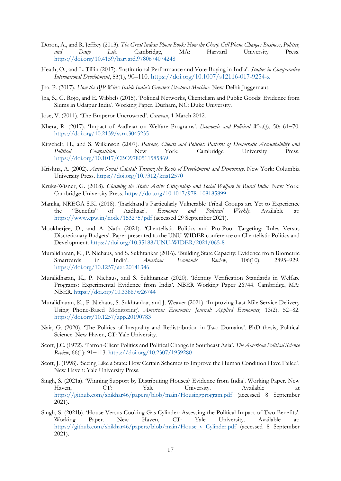- Doron, A., and R. Jeffrey (2013). *The Great Indian Phone Book: How the Cheap Cell Phone Changes Business, Politics, and Daily Life*. Camb[ridge, MA: Harvard University](https://doi.org/10.1007/s12116-017-9254-x) Press. https://doi.org/10.4159/harvard.9780674074248
- Heath, O., and L. Tillin (2017). 'Institutional Performance and Vote-Buying in India'. *Studies in Comparative International Development*, 53(1), 90–110. https://doi.org/10.1007/s12116-017-9254-x
- Jha, P. (2017). *How the BJP Wins: Inside India's Greatest Electoral Machine*. New Delhi: Juggernaut.
- Jha, S., G. Rojo, and E. Wibbels (2015). 'Political Networks, Clientelism and Public Goods: Evidence from Slums in Udaipur India'. Working Paper. Durham, NC: Duke University.
- Jose, V. [\(2011\). 'The Emperor Uncrowned'.](https://doi.org/10.2139/ssrn.3045235) *Caravan*, 1 March 2012.
- Khera, R. (2017). 'Impact of Aadhaar on Welfare Programs'. *Economic and Political Weekly*, 50: 61–70. [https://doi.org/10.2139/ssrn.3045235](https://doi.org/10.1017/CBO9780511585869)
- Kitschelt, H., and S. Wilkinson (2007). *Patrons, Clients and Policies: Patterns of Democratic Accountability and Political Competition.* [New York:](https://doi.org/10.7312/kris12570) Cambridge University Press. https://doi.org/10.1017/CBO9780511585869
- Krishna, A. (2002). *Active Social C[apital: Tracing the Roots of Development and De](https://doi.org/10.1017/9781108185899)mocracy*. New York: Columbia University Press. https://doi.org/10.7312/kris12570
- Kruks-Wisner, G. (2018). *Claiming the State: Active Citizenship and Social Welfare in Rural India*. New York: [Cambridge University Press.](https://www.epw.in/node/153275/pdf) https://doi.org/10.1017/9781108185899
- Manika, NREGA S.K. (2018). 'Jharkhand's Particularly Vulnerable Tribal Groups are Yet to Experience the "Benefits" of Aadhaar'. *Economic and Political Weekly*. Available at: https://www.epw.in/node/153275/pdf [\(accessed 29 September 2021\)](https://doi.org/10.35188/UNU-WIDER/2021/065-8).
- Mookherjee, D., and A. Nath (2021). 'Clientelistic Politics and Pro-Poor Targeting: Rules Versus Discretionary Budgets'. Paper presented to the UNU-WIDER conference on Clientelistic Politics and Development. [https://doi.org/10.35188](https://doi.org/10.1257/aer.20141346)/UNU-WIDER/2021/065-8
- Muralidharan, K., P. Niehaus, and S. Sukhtankar (2016). 'Building State Capacity: Evidence from Biometric Smartcards in India'. *American Economic Review*, 106(10): 2895–929. https:/[/doi.org/10.1257/aer.20141346](https://doi.org/10.3386/w26744)
- Muralidharan, K., P. Niehaus, and S. Sukhtankar (2020). 'Identity Verification Standards in Welfare Programs: Experimental Evidence from India'. NBER Working Paper 26744. Cambridge, MA: [NBER. https://doi.org/10.3386/w2674](https://doi.org/10.1257/app.20190783)4
- Muralidharan, K., P. Niehaus, S. Sukhtankar, and J. Weaver (2021). 'Improving Last-Mile Service Delivery Using Phone-Based Monitoring'. *American Economics Journal: Applied Economics,* 13(2), 52–82. https://doi.org/10.1257/app.20190783
- Nair, G. (2020). 'The Poli[tics of Inequality and Redistributio](https://doi.org/10.2307/1959280)n in Two Domains'. PhD thesis, Political Science. [New Haven, CT: Yale University.](https://archive.org/details/seeinglikestateh00scot_0)
- Scott, J.C. (1972). ['Patron-Client Politics a](https://en.wikipedia.org/wiki/Yale_University_Press)nd Political Change in Southeast Asia'. *The American Political Science Review*, 66(1): 91–113. https://doi.org/10.2307/1959280
- Scott, J. (1998). 'Seeing Like a State: How Certain Schemes to Improve the Human Condition Have Failed'. [New Haven: Yale University Press.](https://github.com/shikhar46/papers/blob/main/Housingprogram.pdf)
- Singh, S. (2021a). 'Winning Support by Distributing Houses? Evidence from India'. Working Paper. New Haven, CT: Yale University. Available at https://github.com/shikhar46/papers/blob/main/Housingprogram.pdf (accessed 8 September [2021\).](https://github.com/shikhar46/papers/blob/main/House_v_Cylinder.pdf)
- Singh, S. (2021b). 'House Versus Cooking Gas Cylinder: Assessing the Political Impact of Two Benefits'. Working Paper. New Haven, CT: Yale University. Available at: https://github.com/shikh[ar46/papers/blob/main/House\\_v\\_Cylinder.pd](https://doi.org/10.1177/2321023018797482)f (accessed 8 September 2021).